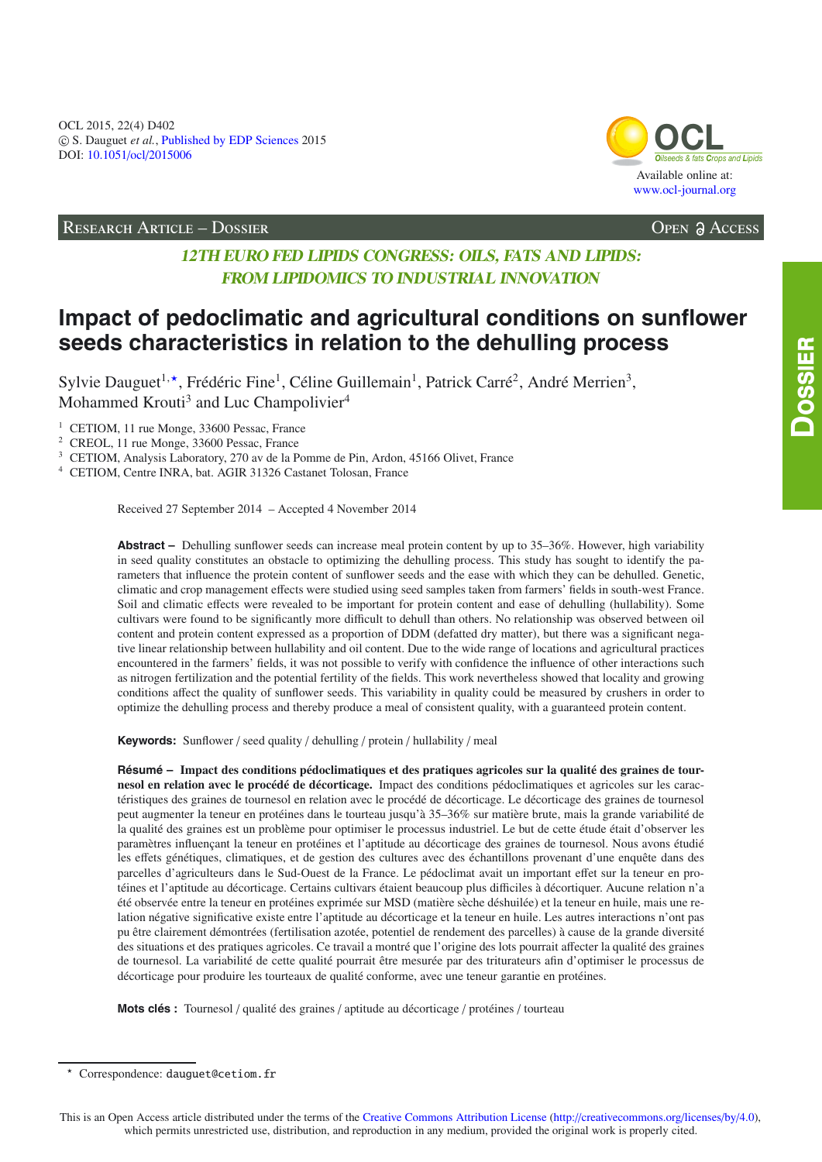

RESEARCH ARTICLE – DOSSIER Open Access

# **12TH EURO FED LIPIDS CONGRESS: OILS, FATS AND LIPIDS: FROM LIPIDOMICS TO INDUSTRIAL INNOVATION**

# **Impact of pedoclimatic and agricultural conditions on sunflower seeds characteristics in relation to the dehulling process**

Sylvie Dauguet<sup>1,\*</sup>, Frédéric Fine<sup>1</sup>, Céline Guillemain<sup>1</sup>, Patrick Carré<sup>2</sup>, André Merrien<sup>3</sup>, Mohammed Krouti<sup>3</sup> and Luc Champolivier<sup>4</sup>

<sup>1</sup> CETIOM, 11 rue Monge, 33600 Pessac, France

<sup>2</sup> CREOL, 11 rue Monge, 33600 Pessac, France

<sup>3</sup> CETIOM, Analysis Laboratory, 270 av de la Pomme de Pin, Ardon, 45166 Olivet, France

<sup>4</sup> CETIOM, Centre INRA, bat. AGIR 31326 Castanet Tolosan, France

Received 27 September 2014 – Accepted 4 November 2014

**Abstract –** Dehulling sunflower seeds can increase meal protein content by up to 35–36%. However, high variability in seed quality constitutes an obstacle to optimizing the dehulling process. This study has sought to identify the parameters that influence the protein content of sunflower seeds and the ease with which they can be dehulled. Genetic, climatic and crop management effects were studied using seed samples taken from farmers' fields in south-west France. Soil and climatic effects were revealed to be important for protein content and ease of dehulling (hullability). Some cultivars were found to be significantly more difficult to dehull than others. No relationship was observed between oil content and protein content expressed as a proportion of DDM (defatted dry matter), but there was a significant negative linear relationship between hullability and oil content. Due to the wide range of locations and agricultural practices encountered in the farmers' fields, it was not possible to verify with confidence the influence of other interactions such as nitrogen fertilization and the potential fertility of the fields. This work nevertheless showed that locality and growing conditions affect the quality of sunflower seeds. This variability in quality could be measured by crushers in order to optimize the dehulling process and thereby produce a meal of consistent quality, with a guaranteed protein content.

**Keywords:** Sunflower / seed quality / dehulling / protein / hullability / meal

**Résumé – Impact des conditions pédoclimatiques et des pratiques agricoles sur la qualité des graines de tournesol en relation avec le procédé de décorticage.** Impact des conditions pédoclimatiques et agricoles sur les caractéristiques des graines de tournesol en relation avec le procédé de décorticage. Le décorticage des graines de tournesol peut augmenter la teneur en protéines dans le tourteau jusqu'à 35–36% sur matière brute, mais la grande variabilité de la qualité des graines est un problème pour optimiser le processus industriel. Le but de cette étude était d'observer les paramètres influençant la teneur en protéines et l'aptitude au décorticage des graines de tournesol. Nous avons étudié les effets génétiques, climatiques, et de gestion des cultures avec des échantillons provenant d'une enquête dans des parcelles d'agriculteurs dans le Sud-Ouest de la France. Le pédoclimat avait un important effet sur la teneur en protéines et l'aptitude au décorticage. Certains cultivars étaient beaucoup plus difficiles à décortiquer. Aucune relation n'a été observée entre la teneur en protéines exprimée sur MSD (matière sèche déshuilée) et la teneur en huile, mais une relation négative significative existe entre l'aptitude au décorticage et la teneur en huile. Les autres interactions n'ont pas pu être clairement démontrées (fertilisation azotée, potentiel de rendement des parcelles) à cause de la grande diversité des situations et des pratiques agricoles. Ce travail a montré que l'origine des lots pourrait affecter la qualité des graines de tournesol. La variabilité de cette qualité pourrait être mesurée par des triturateurs afin d'optimiser le processus de décorticage pour produire les tourteaux de qualité conforme, avec une teneur garantie en protéines.

**Mots clés :** Tournesol / qualité des graines / aptitude au décorticage / protéines / tourteau

 $\star$ Correspondence: dauguet@cetiom.fr

This is an Open Access article distributed under the terms of the [Creative Commons Attribution License](http://creativecommons.org/licenses/by/4.0/) (http://[creativecommons.org](http://creativecommons.org/licenses/by/4.0)/licenses/by/4.0), which permits unrestricted use, distribution, and reproduction in any medium, provided the original work is properly cited.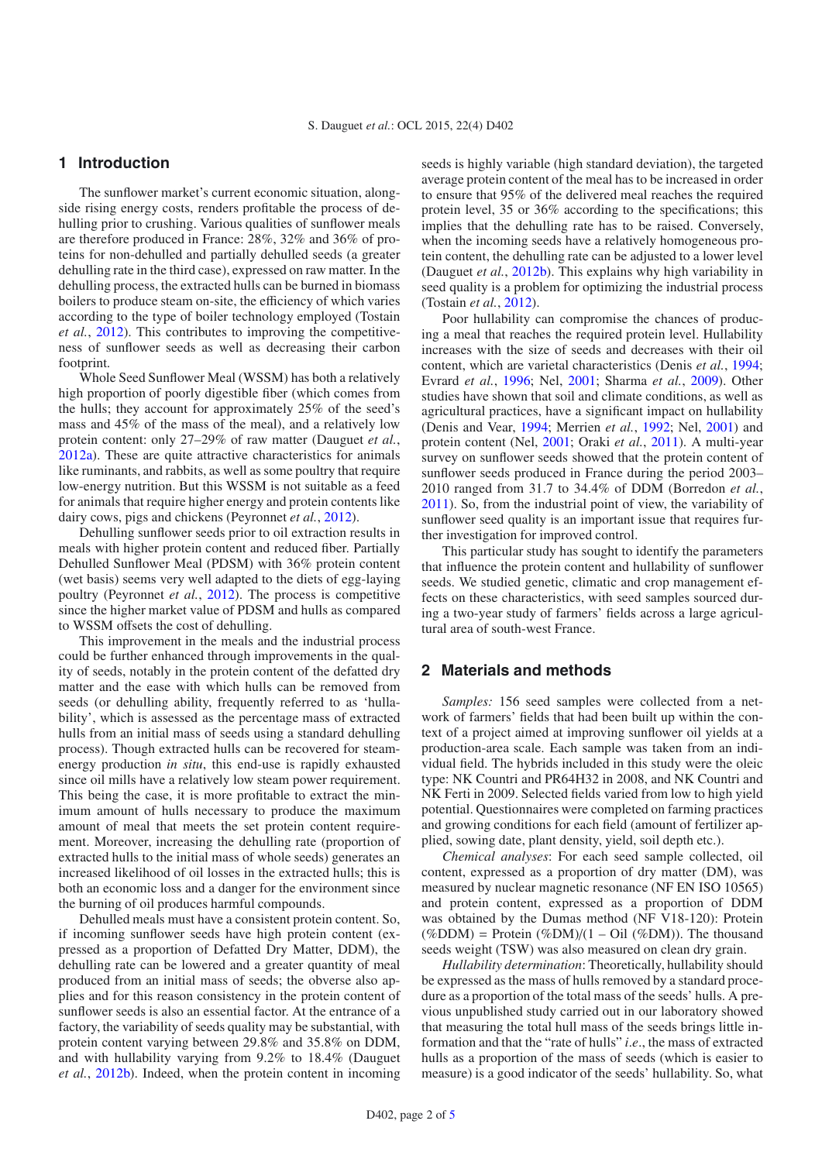# **1 Introduction**

The sunflower market's current economic situation, alongside rising energy costs, renders profitable the process of dehulling prior to crushing. Various qualities of sunflower meals are therefore produced in France: 28%, 32% and 36% of proteins for non-dehulled and partially dehulled seeds (a greater dehulling rate in the third case), expressed on raw matter. In the dehulling process, the extracted hulls can be burned in biomass boilers to produce steam on-site, the efficiency of which varies according to the type of boiler technology employed (Tostain *et al.*, [2012\)](#page-4-0). This contributes to improving the competitiveness of sunflower seeds as well as decreasing their carbon footprint.

Whole Seed Sunflower Meal (WSSM) has both a relatively high proportion of poorly digestible fiber (which comes from the hulls; they account for approximately 25% of the seed's mass and 45% of the mass of the meal), and a relatively low protein content: only 27–29% of raw matter (Dauguet *et al.*, [2012a\)](#page-4-1). These are quite attractive characteristics for animals like ruminants, and rabbits, as well as some poultry that require low-energy nutrition. But this WSSM is not suitable as a feed for animals that require higher energy and protein contents like dairy cows, pigs and chickens (Peyronnet *et al.*, [2012\)](#page-4-2).

Dehulling sunflower seeds prior to oil extraction results in meals with higher protein content and reduced fiber. Partially Dehulled Sunflower Meal (PDSM) with 36% protein content (wet basis) seems very well adapted to the diets of egg-laying poultry (Peyronnet *et al.*, [2012](#page-4-2)). The process is competitive since the higher market value of PDSM and hulls as compared to WSSM offsets the cost of dehulling.

This improvement in the meals and the industrial process could be further enhanced through improvements in the quality of seeds, notably in the protein content of the defatted dry matter and the ease with which hulls can be removed from seeds (or dehulling ability, frequently referred to as 'hullability', which is assessed as the percentage mass of extracted hulls from an initial mass of seeds using a standard dehulling process). Though extracted hulls can be recovered for steamenergy production *in situ*, this end-use is rapidly exhausted since oil mills have a relatively low steam power requirement. This being the case, it is more profitable to extract the minimum amount of hulls necessary to produce the maximum amount of meal that meets the set protein content requirement. Moreover, increasing the dehulling rate (proportion of extracted hulls to the initial mass of whole seeds) generates an increased likelihood of oil losses in the extracted hulls; this is both an economic loss and a danger for the environment since the burning of oil produces harmful compounds.

Dehulled meals must have a consistent protein content. So, if incoming sunflower seeds have high protein content (expressed as a proportion of Defatted Dry Matter, DDM), the dehulling rate can be lowered and a greater quantity of meal produced from an initial mass of seeds; the obverse also applies and for this reason consistency in the protein content of sunflower seeds is also an essential factor. At the entrance of a factory, the variability of seeds quality may be substantial, with protein content varying between 29.8% and 35.8% on DDM, and with hullability varying from 9.2% to 18.4% (Dauguet *et al.*, [2012b](#page-4-3)). Indeed, when the protein content in incoming seeds is highly variable (high standard deviation), the targeted average protein content of the meal has to be increased in order to ensure that 95% of the delivered meal reaches the required protein level, 35 or 36% according to the specifications; this implies that the dehulling rate has to be raised. Conversely, when the incoming seeds have a relatively homogeneous protein content, the dehulling rate can be adjusted to a lower level (Dauguet *et al.*, [2012b\)](#page-4-3). This explains why high variability in seed quality is a problem for optimizing the industrial process (Tostain *et al.*, [2012](#page-4-0)).

Poor hullability can compromise the chances of producing a meal that reaches the required protein level. Hullability increases with the size of seeds and decreases with their oil content, which are varietal characteristics (Denis *et al.*, [1994;](#page-4-4) Evrard *et al.*, [1996](#page-4-5); Nel, [2001;](#page-4-6) Sharma *et al.*, [2009\)](#page-4-7). Other studies have shown that soil and climate conditions, as well as agricultural practices, have a significant impact on hullability (Denis and Vear, [1994;](#page-4-8) Merrien *et al.*, [1992;](#page-4-9) Nel, [2001\)](#page-4-6) and protein content (Nel, [2001](#page-4-6); Oraki *et al.*, [2011\)](#page-4-10). A multi-year survey on sunflower seeds showed that the protein content of sunflower seeds produced in France during the period 2003– 2010 ranged from 31.7 to 34.4% of DDM (Borredon *et al.*, [2011\)](#page-4-11). So, from the industrial point of view, the variability of sunflower seed quality is an important issue that requires further investigation for improved control.

This particular study has sought to identify the parameters that influence the protein content and hullability of sunflower seeds. We studied genetic, climatic and crop management effects on these characteristics, with seed samples sourced during a two-year study of farmers' fields across a large agricultural area of south-west France.

## **2 Materials and methods**

*Samples:* 156 seed samples were collected from a network of farmers' fields that had been built up within the context of a project aimed at improving sunflower oil yields at a production-area scale. Each sample was taken from an individual field. The hybrids included in this study were the oleic type: NK Countri and PR64H32 in 2008, and NK Countri and NK Ferti in 2009. Selected fields varied from low to high yield potential. Questionnaires were completed on farming practices and growing conditions for each field (amount of fertilizer applied, sowing date, plant density, yield, soil depth etc.).

*Chemical analyses*: For each seed sample collected, oil content, expressed as a proportion of dry matter (DM), was measured by nuclear magnetic resonance (NF EN ISO 10565) and protein content, expressed as a proportion of DDM was obtained by the Dumas method (NF V18-120): Protein  $(\%DDM)$  = Protein  $(\%DM)/(1 - Oil (\%DM))$ . The thousand seeds weight (TSW) was also measured on clean dry grain.

*Hullability determination*: Theoretically, hullability should be expressed as the mass of hulls removed by a standard procedure as a proportion of the total mass of the seeds' hulls. A previous unpublished study carried out in our laboratory showed that measuring the total hull mass of the seeds brings little information and that the "rate of hulls" *i*.*e*., the mass of extracted hulls as a proportion of the mass of seeds (which is easier to measure) is a good indicator of the seeds' hullability. So, what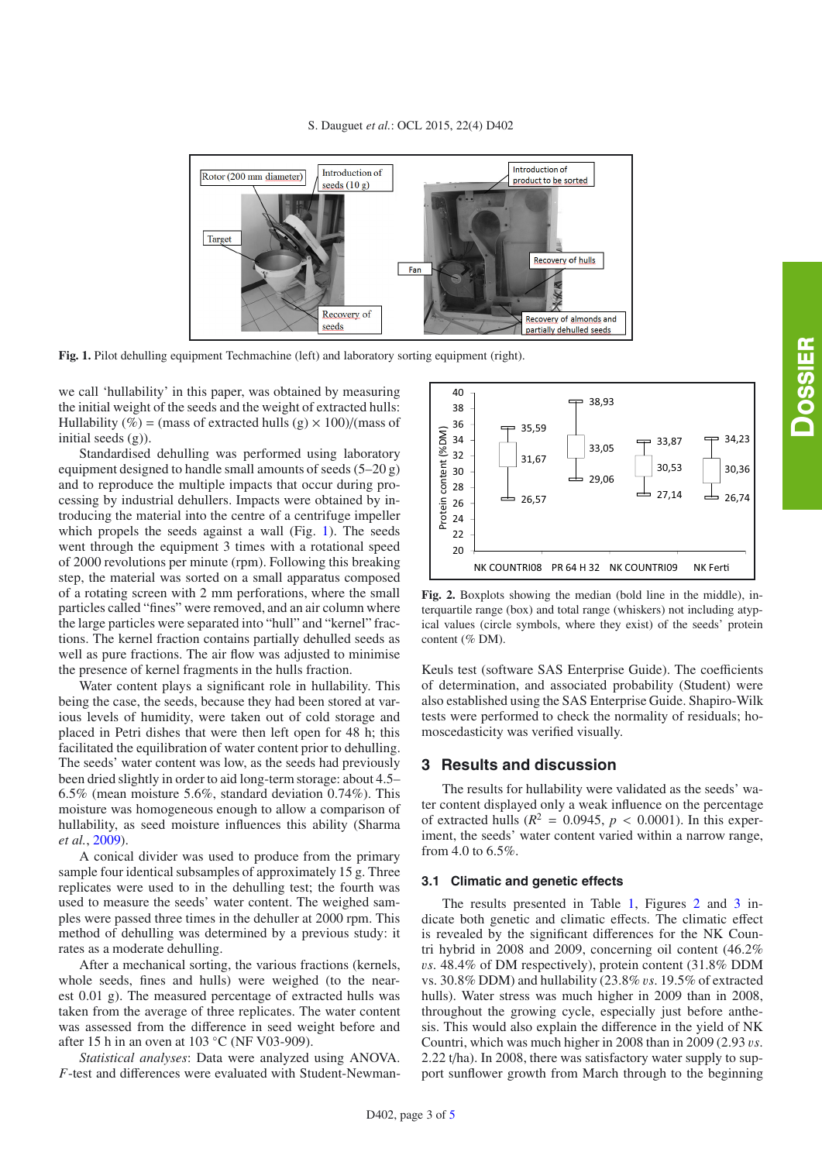<span id="page-2-0"></span>

**Fig. 1.** Pilot dehulling equipment Techmachine (left) and laboratory sorting equipment (right).

we call 'hullability' in this paper, was obtained by measuring the initial weight of the seeds and the weight of extracted hulls: Hullability (%) = (mass of extracted hulls (g)  $\times$  100)/(mass of initial seeds  $(g)$ ).

Standardised dehulling was performed using laboratory equipment designed to handle small amounts of seeds (5–20 g) and to reproduce the multiple impacts that occur during processing by industrial dehullers. Impacts were obtained by introducing the material into the centre of a centrifuge impeller which propels the seeds against a wall (Fig. [1\)](#page-2-0). The seeds went through the equipment 3 times with a rotational speed of 2000 revolutions per minute (rpm). Following this breaking step, the material was sorted on a small apparatus composed of a rotating screen with 2 mm perforations, where the small particles called "fines" were removed, and an air column where the large particles were separated into "hull" and "kernel" fractions. The kernel fraction contains partially dehulled seeds as well as pure fractions. The air flow was adjusted to minimise the presence of kernel fragments in the hulls fraction.

Water content plays a significant role in hullability. This being the case, the seeds, because they had been stored at various levels of humidity, were taken out of cold storage and placed in Petri dishes that were then left open for 48 h; this facilitated the equilibration of water content prior to dehulling. The seeds' water content was low, as the seeds had previously been dried slightly in order to aid long-term storage: about 4.5– 6.5% (mean moisture 5.6%, standard deviation 0.74%). This moisture was homogeneous enough to allow a comparison of hullability, as seed moisture influences this ability (Sharma *et al.*, [2009\)](#page-4-7).

A conical divider was used to produce from the primary sample four identical subsamples of approximately 15 g. Three replicates were used to in the dehulling test; the fourth was used to measure the seeds' water content. The weighed samples were passed three times in the dehuller at 2000 rpm. This method of dehulling was determined by a previous study: it rates as a moderate dehulling.

After a mechanical sorting, the various fractions (kernels, whole seeds, fines and hulls) were weighed (to the nearest 0.01 g). The measured percentage of extracted hulls was taken from the average of three replicates. The water content was assessed from the difference in seed weight before and after 15 h in an oven at 103 ◦C (NF V03-909).

*Statistical analyses*: Data were analyzed using ANOVA. *F*-test and differences were evaluated with Student-Newman-

<span id="page-2-1"></span>

**Fig. 2.** Boxplots showing the median (bold line in the middle), interquartile range (box) and total range (whiskers) not including atypical values (circle symbols, where they exist) of the seeds' protein content (% DM).

Keuls test (software SAS Enterprise Guide). The coefficients of determination, and associated probability (Student) were also established using the SAS Enterprise Guide. Shapiro-Wilk tests were performed to check the normality of residuals; homoscedasticity was verified visually.

#### **3 Results and discussion**

The results for hullability were validated as the seeds' water content displayed only a weak influence on the percentage of extracted hulls ( $R^2 = 0.0945$ ,  $p < 0.0001$ ). In this experiment, the seeds' water content varied within a narrow range, from 4.0 to 6.5%.

#### **3.1 Climatic and genetic effects**

The results presented in Table [1,](#page-3-0) Figures [2](#page-2-1) and [3](#page-3-1) indicate both genetic and climatic effects. The climatic effect is revealed by the significant differences for the NK Countri hybrid in 2008 and 2009, concerning oil content (46.2% v*s*. 48.4% of DM respectively), protein content (31.8% DDM vs. 30.8% DDM) and hullability (23.8% v*s*. 19.5% of extracted hulls). Water stress was much higher in 2009 than in 2008, throughout the growing cycle, especially just before anthesis. This would also explain the difference in the yield of NK Countri, which was much higher in 2008 than in 2009 (2.93 v*s*. 2.22 t/ha). In 2008, there was satisfactory water supply to support sunflower growth from March through to the beginning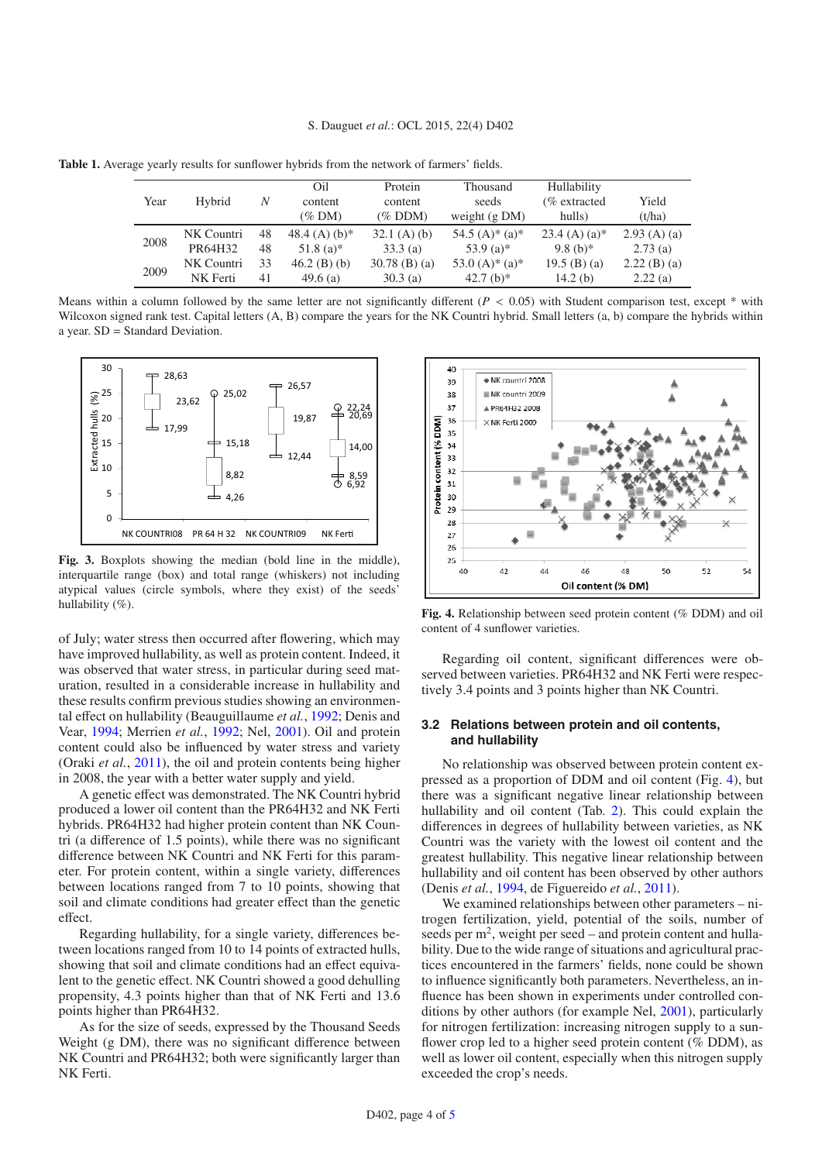<span id="page-3-0"></span>**Table 1.** Average yearly results for sunflower hybrids from the network of farmers' fields.

| Year | Hybrid     | N  | Oil<br>content<br>$(\%$ DM) | Protein<br>content<br>$(\%$ DDM) | Thousand<br>seeds<br>weight $(g DM)$       | Hullability<br>$%$ extracted<br>hulls) | Yield<br>(t/ha) |
|------|------------|----|-----------------------------|----------------------------------|--------------------------------------------|----------------------------------------|-----------------|
| 2008 | NK Countri | 48 | 48.4 (A) $(b)*$             | $32.1$ (A) (b)                   | 54.5 $(A)$ <sup>*</sup> $(a)$ <sup>*</sup> | $23.4$ (A) (a)*                        | $2.93(A)$ (a)   |
|      | PR64H32    | 48 | $51.8(a)*$                  | 33.3(a)                          | 53.9 (a) <sup>*</sup>                      | $9.8(b)*$                              | 2.73(a)         |
| 2009 | NK Countri | 33 | $46.2$ (B) (b)              | $30.78$ (B) (a)                  | 53.0 $(A)$ * $(a)$ *                       | $19.5$ (B) (a)                         | $2.22$ (B) (a)  |
|      | NK Ferti   | 41 | 49.6 $(a)$                  | 30.3(a)                          | 42.7 (b) <sup>*</sup>                      | 14.2 $(b)$                             | 2.22(a)         |

Means within a column followed by the same letter are not significantly different  $(P < 0.05)$  with Student comparison test, except  $*$  with Wilcoxon signed rank test. Capital letters  $(A, B)$  compare the years for the NK Countri hybrid. Small letters  $(a, b)$  compare the hybrids within a year. SD = Standard Deviation.

<span id="page-3-1"></span>

**Fig. 3.** Boxplots showing the median (bold line in the middle), interquartile range (box) and total range (whiskers) not including atypical values (circle symbols, where they exist) of the seeds' hullability (%).

of July; water stress then occurred after flowering, which may have improved hullability, as well as protein content. Indeed, it was observed that water stress, in particular during seed maturation, resulted in a considerable increase in hullability and these results confirm previous studies showing an environmental effect on hullability (Beauguillaume *et al.*, [1992;](#page-4-13) Denis and Vear, [1994;](#page-4-8) Merrien *et al.*, [1992;](#page-4-9) Nel, [2001](#page-4-6)). Oil and protein content could also be influenced by water stress and variety (Oraki *et al.*, [2011](#page-4-10)), the oil and protein contents being higher in 2008, the year with a better water supply and yield.

A genetic effect was demonstrated. The NK Countri hybrid produced a lower oil content than the PR64H32 and NK Ferti hybrids. PR64H32 had higher protein content than NK Countri (a difference of 1.5 points), while there was no significant difference between NK Countri and NK Ferti for this parameter. For protein content, within a single variety, differences between locations ranged from 7 to 10 points, showing that soil and climate conditions had greater effect than the genetic effect.

Regarding hullability, for a single variety, differences between locations ranged from 10 to 14 points of extracted hulls, showing that soil and climate conditions had an effect equivalent to the genetic effect. NK Countri showed a good dehulling propensity, 4.3 points higher than that of NK Ferti and 13.6 points higher than PR64H32.

As for the size of seeds, expressed by the Thousand Seeds Weight (g DM), there was no significant difference between NK Countri and PR64H32; both were significantly larger than NK Ferti.

<span id="page-3-2"></span>

**Fig. 4.** Relationship between seed protein content (% DDM) and oil content of 4 sunflower varieties.

Regarding oil content, significant differences were observed between varieties. PR64H32 and NK Ferti were respectively 3.4 points and 3 points higher than NK Countri.

#### **3.2 Relations between protein and oil contents, and hullability**

No relationship was observed between protein content expressed as a proportion of DDM and oil content (Fig. [4\)](#page-3-2), but there was a significant negative linear relationship between hullability and oil content (Tab. [2\)](#page-4-14). This could explain the differences in degrees of hullability between varieties, as NK Countri was the variety with the lowest oil content and the greatest hullability. This negative linear relationship between hullability and oil content has been observed by other authors (Denis *et al.*, [1994,](#page-4-4) de Figuereido *et al.*, [2011\)](#page-4-15).

We examined relationships between other parameters – nitrogen fertilization, yield, potential of the soils, number of seeds per  $m<sup>2</sup>$ , weight per seed – and protein content and hullability. Due to the wide range of situations and agricultural practices encountered in the farmers' fields, none could be shown to influence significantly both parameters. Nevertheless, an influence has been shown in experiments under controlled conditions by other authors (for example Nel, [2001](#page-4-6)), particularly for nitrogen fertilization: increasing nitrogen supply to a sunflower crop led to a higher seed protein content (% DDM), as well as lower oil content, especially when this nitrogen supply exceeded the crop's needs.